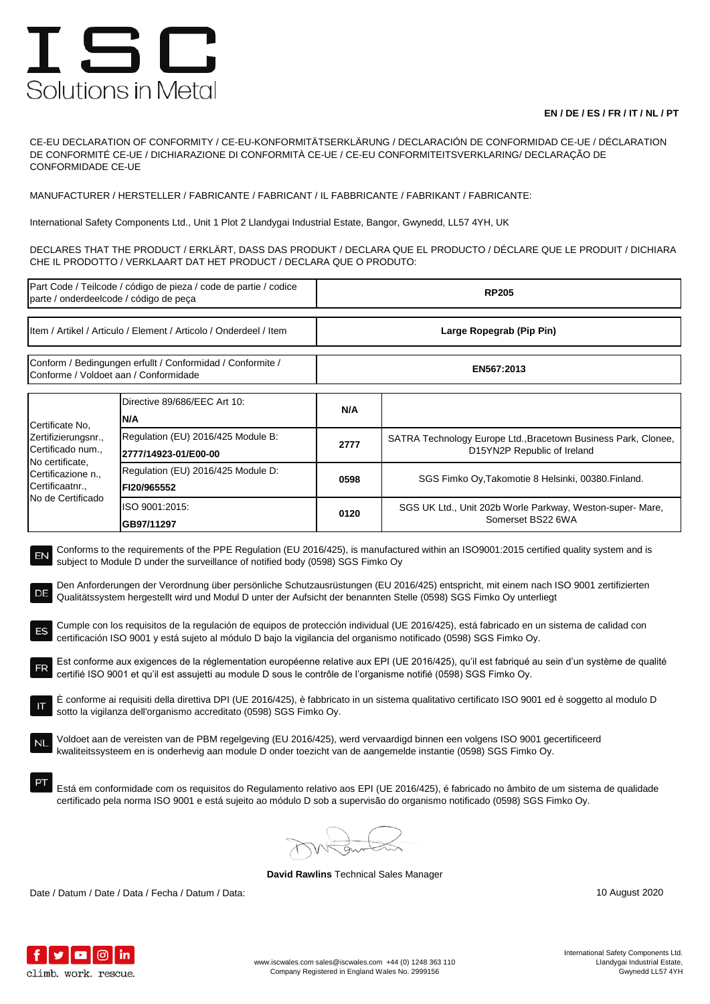## ISC Solutions in Metal

## **EN / DE / ES / FR / IT / NL / PT**

CE-EU DECLARATION OF CONFORMITY / CE-EU-KONFORMITÄTSERKLÄRUNG / DECLARACIÓN DE CONFORMIDAD CE-UE / DÉCLARATION DE CONFORMITÉ CE-UE / DICHIARAZIONE DI CONFORMITÀ CE-UE / CE-EU CONFORMITEITSVERKLARING/ DECLARAÇÃO DE CONFORMIDADE CE-UE

MANUFACTURER / HERSTELLER / FABRICANTE / FABRICANT / IL FABBRICANTE / FABRIKANT / FABRICANTE:

International Safety Components Ltd., Unit 1 Plot 2 Llandygai Industrial Estate, Bangor, Gwynedd, LL57 4YH, UK

DECLARES THAT THE PRODUCT / ERKLÄRT, DASS DAS PRODUKT / DECLARA QUE EL PRODUCTO / DÉCLARE QUE LE PRODUIT / DICHIARA CHE IL PRODOTTO / VERKLAART DAT HET PRODUCT / DECLARA QUE O PRODUTO:

| Part Code / Teilcode / código de pieza / code de partie / codice<br>parte / onderdeelcode / código de peça                                                                                                                                                                                                                                                                                                                                                                                                                                                                                                                                                                                                                                                                                                                                                                                                                                                                                                                                                                                                                                                                                                                                                                                                                                                                                                                                                                                                                                                                                                                                     |                                                            | <b>RP205</b>             |                                                                                               |  |  |
|------------------------------------------------------------------------------------------------------------------------------------------------------------------------------------------------------------------------------------------------------------------------------------------------------------------------------------------------------------------------------------------------------------------------------------------------------------------------------------------------------------------------------------------------------------------------------------------------------------------------------------------------------------------------------------------------------------------------------------------------------------------------------------------------------------------------------------------------------------------------------------------------------------------------------------------------------------------------------------------------------------------------------------------------------------------------------------------------------------------------------------------------------------------------------------------------------------------------------------------------------------------------------------------------------------------------------------------------------------------------------------------------------------------------------------------------------------------------------------------------------------------------------------------------------------------------------------------------------------------------------------------------|------------------------------------------------------------|--------------------------|-----------------------------------------------------------------------------------------------|--|--|
| Item / Artikel / Articulo / Element / Articolo / Onderdeel / Item                                                                                                                                                                                                                                                                                                                                                                                                                                                                                                                                                                                                                                                                                                                                                                                                                                                                                                                                                                                                                                                                                                                                                                                                                                                                                                                                                                                                                                                                                                                                                                              |                                                            | Large Ropegrab (Pip Pin) |                                                                                               |  |  |
| Conform / Bedingungen erfullt / Conformidad / Conformite /<br>Conforme / Voldoet aan / Conformidade                                                                                                                                                                                                                                                                                                                                                                                                                                                                                                                                                                                                                                                                                                                                                                                                                                                                                                                                                                                                                                                                                                                                                                                                                                                                                                                                                                                                                                                                                                                                            |                                                            | EN567:2013               |                                                                                               |  |  |
| Certificate No,<br>Zertifizierungsnr.,<br>Certificado num.,<br>No certificate,<br>Certificazione n.,<br>Certificaatnr.,<br>No de Certificado                                                                                                                                                                                                                                                                                                                                                                                                                                                                                                                                                                                                                                                                                                                                                                                                                                                                                                                                                                                                                                                                                                                                                                                                                                                                                                                                                                                                                                                                                                   | Directive 89/686/EEC Art 10:<br>N/A                        | N/A                      |                                                                                               |  |  |
|                                                                                                                                                                                                                                                                                                                                                                                                                                                                                                                                                                                                                                                                                                                                                                                                                                                                                                                                                                                                                                                                                                                                                                                                                                                                                                                                                                                                                                                                                                                                                                                                                                                | Regulation (EU) 2016/425 Module B:<br>2777/14923-01/E00-00 | 2777                     | SATRA Technology Europe Ltd., Bracetown Business Park, Clonee,<br>D15YN2P Republic of Ireland |  |  |
|                                                                                                                                                                                                                                                                                                                                                                                                                                                                                                                                                                                                                                                                                                                                                                                                                                                                                                                                                                                                                                                                                                                                                                                                                                                                                                                                                                                                                                                                                                                                                                                                                                                | Regulation (EU) 2016/425 Module D:<br>FI20/965552          | 0598                     | SGS Fimko Oy, Takomotie 8 Helsinki, 00380. Finland.                                           |  |  |
|                                                                                                                                                                                                                                                                                                                                                                                                                                                                                                                                                                                                                                                                                                                                                                                                                                                                                                                                                                                                                                                                                                                                                                                                                                                                                                                                                                                                                                                                                                                                                                                                                                                | ISO 9001:2015:<br>GB97/11297                               | 0120                     | SGS UK Ltd., Unit 202b Worle Parkway, Weston-super- Mare,<br>Somerset BS22 6WA                |  |  |
| subject to Module D under the surveillance of notified body (0598) SGS Fimko Oy<br>Den Anforderungen der Verordnung über persönliche Schutzausrüstungen (EU 2016/425) entspricht, mit einem nach ISO 9001 zertifizierten<br>DE<br>Qualitätssystem hergestellt wird und Modul D unter der Aufsicht der benannten Stelle (0598) SGS Fimko Oy unterliegt<br>Cumple con los requisitos de la regulación de equipos de protección individual (UE 2016/425), está fabricado en un sistema de calidad con<br>certificación ISO 9001 y está sujeto al módulo D bajo la vigilancia del organismo notificado (0598) SGS Fimko Oy.<br>Est conforme aux exigences de la réglementation européenne relative aux EPI (UE 2016/425), qu'il est fabriqué au sein d'un système de qualité<br>certifié ISO 9001 et qu'il est assujetti au module D sous le contrôle de l'organisme notifié (0598) SGS Fimko Oy.<br>E conforme ai requisiti della direttiva DPI (UE 2016/425), è fabbricato in un sistema qualitativo certificato ISO 9001 ed è soggetto al modulo D<br>sotto la vigilanza dell'organismo accreditato (0598) SGS Fimko Oy.<br>Voldoet aan de vereisten van de PBM regelgeving (EU 2016/425), werd vervaardigd binnen een volgens ISO 9001 gecertificeerd<br>kwaliteitssysteem en is onderhevig aan module D onder toezicht van de aangemelde instantie (0598) SGS Fimko Oy.<br>Está em conformidade com os requisitos do Regulamento relativo aos EPI (UE 2016/425), é fabricado no âmbito de um sistema de qualidade<br>certificado pela norma ISO 9001 e está sujeito ao módulo D sob a supervisão do organismo notificado (0598) SGS Fimko Oy. |                                                            |                          |                                                                                               |  |  |
|                                                                                                                                                                                                                                                                                                                                                                                                                                                                                                                                                                                                                                                                                                                                                                                                                                                                                                                                                                                                                                                                                                                                                                                                                                                                                                                                                                                                                                                                                                                                                                                                                                                |                                                            |                          |                                                                                               |  |  |

**David Rawlins** Technical Sales Manager

Date / Datum / Date / Data / Fecha / Datum / Data: 10 August 2020